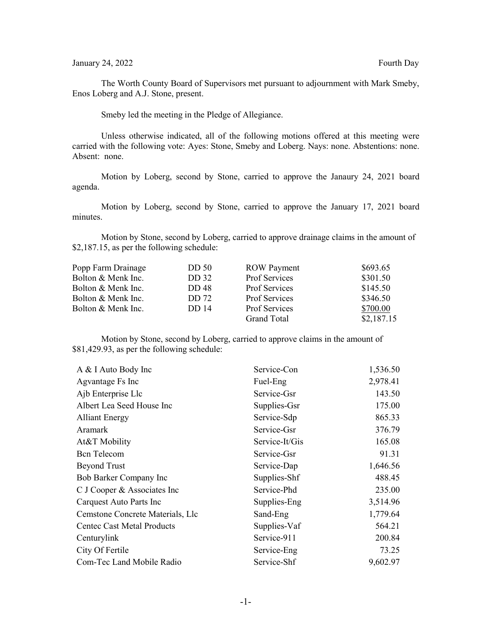## January 24, 2022 Fourth Day

The Worth County Board of Supervisors met pursuant to adjournment with Mark Smeby, Enos Loberg and A.J. Stone, present.

Smeby led the meeting in the Pledge of Allegiance.

Unless otherwise indicated, all of the following motions offered at this meeting were carried with the following vote: Ayes: Stone, Smeby and Loberg. Nays: none. Abstentions: none. Absent: none.

Motion by Loberg, second by Stone, carried to approve the Janaury 24, 2021 board agenda.

Motion by Loberg, second by Stone, carried to approve the January 17, 2021 board minutes.

Motion by Stone, second by Loberg, carried to approve drainage claims in the amount of \$2,187.15, as per the following schedule:

| Popp Farm Drainage | DD 50                   | <b>ROW</b> Payment   | \$693.65   |
|--------------------|-------------------------|----------------------|------------|
| Bolton & Menk Inc. | DD 32                   | Prof Services        | \$301.50   |
| Bolton & Menk Inc. | <b>DD</b> <sub>48</sub> | Prof Services        | \$145.50   |
| Bolton & Menk Inc. | DD 72                   | <b>Prof Services</b> | \$346.50   |
| Bolton & Menk Inc. | <b>DD</b> 14            | <b>Prof Services</b> | \$700.00   |
|                    |                         | <b>Grand Total</b>   | \$2,187.15 |

Motion by Stone, second by Loberg, carried to approve claims in the amount of \$81,429.93, as per the following schedule:

| A & I Auto Body Inc               | Service-Con    | 1,536.50 |
|-----------------------------------|----------------|----------|
| Agvantage Fs Inc                  | Fuel-Eng       | 2,978.41 |
| Ajb Enterprise Llc                | Service-Gsr    | 143.50   |
| Albert Lea Seed House Inc         | Supplies-Gsr   | 175.00   |
| <b>Alliant Energy</b>             | Service-Sdp    | 865.33   |
| Aramark                           | Service-Gsr    | 376.79   |
| At&T Mobility                     | Service-It/Gis | 165.08   |
| <b>Bcn</b> Telecom                | Service-Gsr    | 91.31    |
| <b>Beyond Trust</b>               | Service-Dap    | 1,646.56 |
| Bob Barker Company Inc            | Supplies-Shf   | 488.45   |
| C J Cooper & Associates Inc       | Service-Phd    | 235.00   |
| Carquest Auto Parts Inc           | Supplies-Eng   | 3,514.96 |
| Cemstone Concrete Materials, Llc  | Sand-Eng       | 1,779.64 |
| <b>Centec Cast Metal Products</b> | Supplies-Vaf   | 564.21   |
| Centurylink                       | Service-911    | 200.84   |
| City Of Fertile                   | Service-Eng    | 73.25    |
| Com-Tec Land Mobile Radio         | Service-Shf    | 9,602.97 |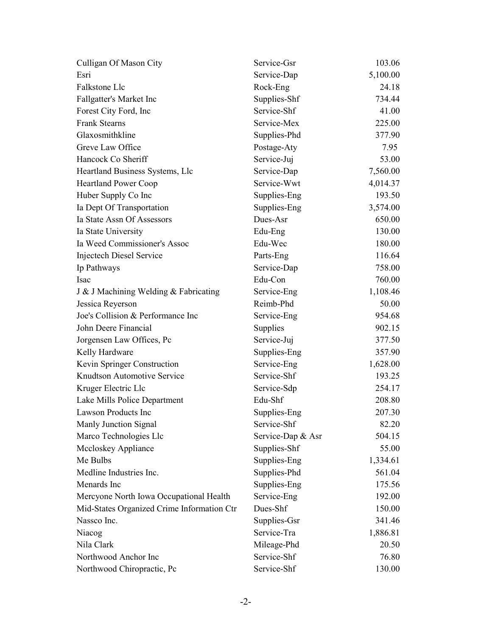| Culligan Of Mason City                     | Service-Gsr       | 103.06   |
|--------------------------------------------|-------------------|----------|
| Esri                                       | Service-Dap       | 5,100.00 |
| Falkstone Llc                              | Rock-Eng          | 24.18    |
| Fallgatter's Market Inc                    | Supplies-Shf      | 734.44   |
| Forest City Ford, Inc                      | Service-Shf       | 41.00    |
| <b>Frank Stearns</b>                       | Service-Mex       | 225.00   |
| Glaxosmithkline                            | Supplies-Phd      | 377.90   |
| Greve Law Office                           | Postage-Aty       | 7.95     |
| Hancock Co Sheriff                         | Service-Juj       | 53.00    |
| Heartland Business Systems, Llc            | Service-Dap       | 7,560.00 |
| <b>Heartland Power Coop</b>                | Service-Wwt       | 4,014.37 |
| Huber Supply Co Inc                        | Supplies-Eng      | 193.50   |
| Ia Dept Of Transportation                  | Supplies-Eng      | 3,574.00 |
| Ia State Assn Of Assessors                 | Dues-Asr          | 650.00   |
| Ia State University                        | Edu-Eng           | 130.00   |
| Ia Weed Commissioner's Assoc               | Edu-Wec           | 180.00   |
| Injectech Diesel Service                   | Parts-Eng         | 116.64   |
| Ip Pathways                                | Service-Dap       | 758.00   |
| Isac                                       | Edu-Con           | 760.00   |
| J & J Machining Welding & Fabricating      | Service-Eng       | 1,108.46 |
| Jessica Reyerson                           | Reimb-Phd         | 50.00    |
| Joe's Collision & Performance Inc          | Service-Eng       | 954.68   |
| John Deere Financial                       | Supplies          | 902.15   |
| Jorgensen Law Offices, Pc                  | Service-Juj       | 377.50   |
| Kelly Hardware                             | Supplies-Eng      | 357.90   |
| Kevin Springer Construction                | Service-Eng       | 1,628.00 |
| Knudtson Automotive Service                | Service-Shf       | 193.25   |
| Kruger Electric Llc                        | Service-Sdp       | 254.17   |
| Lake Mills Police Department               | Edu-Shf           | 208.80   |
| <b>Lawson Products Inc</b>                 | Supplies-Eng      | 207.30   |
| Manly Junction Signal                      | Service-Shf       | 82.20    |
| Marco Technologies Llc                     | Service-Dap & Asr | 504.15   |
| Mccloskey Appliance                        | Supplies-Shf      | 55.00    |
| Me Bulbs                                   | Supplies-Eng      | 1,334.61 |
| Medline Industries Inc.                    | Supplies-Phd      | 561.04   |
| Menards Inc                                | Supplies-Eng      | 175.56   |
| Mercyone North Iowa Occupational Health    | Service-Eng       | 192.00   |
| Mid-States Organized Crime Information Ctr | Dues-Shf          | 150.00   |
| Nassco Inc.                                | Supplies-Gsr      | 341.46   |
| Niacog                                     | Service-Tra       | 1,886.81 |
| Nila Clark                                 | Mileage-Phd       | 20.50    |
| Northwood Anchor Inc                       | Service-Shf       | 76.80    |
| Northwood Chiropractic, Pc                 | Service-Shf       | 130.00   |